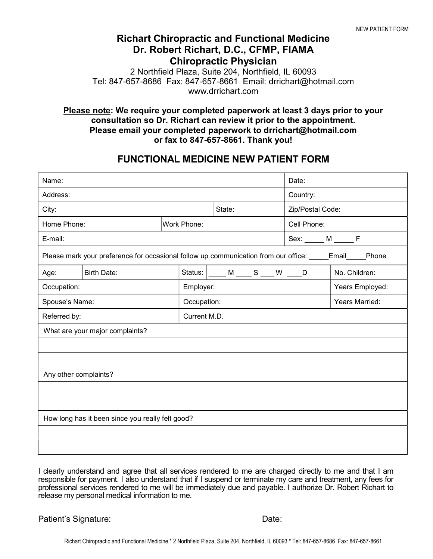## Richart Chiropractic and Functional Medicine Dr. Robert Richart, D.C., CFMP, FIAMA Chiropractic Physician

2 Northfield Plaza, Suite 204, Northfield, IL 60093 Tel: 847-657-8686 Fax: 847-657-8661 Email: drrichart@hotmail.com www.drrichart.com

## Please note: We require your completed paperwork at least 3 days prior to your consultation so Dr. Richart can review it prior to the appointment. Please email your completed paperwork to drrichart@hotmail.com or fax to 847-657-8661. Thank you!

## FUNCTIONAL MEDICINE NEW PATIENT FORM

| Name:                                                                                                   |                                                                             | Date:       |              |          |                        |  |
|---------------------------------------------------------------------------------------------------------|-----------------------------------------------------------------------------|-------------|--------------|----------|------------------------|--|
| Address:                                                                                                |                                                                             |             |              | Country: |                        |  |
| City:                                                                                                   |                                                                             |             | State:       |          | Zip/Postal Code:       |  |
| Home Phone:                                                                                             |                                                                             | Work Phone: |              |          | Cell Phone:            |  |
| E-mail:                                                                                                 |                                                                             |             |              |          | $Sex: \_\_\_M \_\_\_F$ |  |
| Please mark your preference for occasional follow up communication from our office: _____Email____Phone |                                                                             |             |              |          |                        |  |
| Age:                                                                                                    | <b>Birth Date:</b><br>Status: $\boxed{\_\_\_\_M \_\_\_\_S \_\_\_W \_\_\_D}$ |             |              |          | No. Children:          |  |
| Occupation:                                                                                             |                                                                             |             | Employer:    |          | Years Employed:        |  |
| Spouse's Name:                                                                                          |                                                                             |             | Occupation:  |          | Years Married:         |  |
| Referred by:                                                                                            |                                                                             |             | Current M.D. |          |                        |  |
| What are your major complaints?                                                                         |                                                                             |             |              |          |                        |  |
|                                                                                                         |                                                                             |             |              |          |                        |  |
|                                                                                                         |                                                                             |             |              |          |                        |  |
| Any other complaints?                                                                                   |                                                                             |             |              |          |                        |  |
|                                                                                                         |                                                                             |             |              |          |                        |  |
|                                                                                                         |                                                                             |             |              |          |                        |  |
| How long has it been since you really felt good?                                                        |                                                                             |             |              |          |                        |  |
|                                                                                                         |                                                                             |             |              |          |                        |  |
|                                                                                                         |                                                                             |             |              |          |                        |  |

I clearly understand and agree that all services rendered to me are charged directly to me and that I am responsible for payment. I also understand that if I suspend or terminate my care and treatment, any fees for professional services rendered to me will be immediately due and payable. I authorize Dr. Robert Richart to release my personal medical information to me.

Patient's Signature: /Date: /